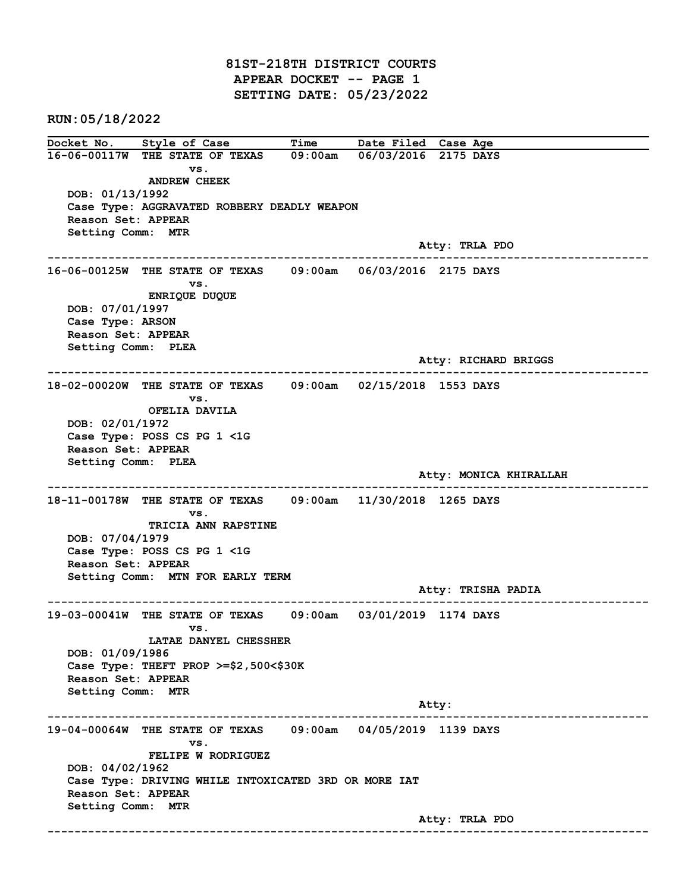81ST-218TH DISTRICT COURTS APPEAR DOCKET -- PAGE 1 SETTING DATE: 05/23/2022

RUN:05/18/2022

Docket No. Style of Case Time Date Filed Case Age 16-06-00117W THE STATE OF TEXAS 09:00am 06/03/2016 2175 DAYS vs. ANDREW CHEEK DOB: 01/13/1992 Case Type: AGGRAVATED ROBBERY DEADLY WEAPON Reason Set: APPEAR Setting Comm: MTR Atty: TRLA PDO ------------------------------------------------------------------------------------------------------------------------ 16-06-00125W THE STATE OF TEXAS 09:00am 06/03/2016 2175 DAYS vs. ENRIQUE DUQUE DOB: 07/01/1997 Case Type: ARSON Reason Set: APPEAR Setting Comm: PLEA Atty: RICHARD BRIGGS ------------------------------------------------------------------------------------------------------------------------ 18-02-00020W THE STATE OF TEXAS 09:00am 02/15/2018 1553 DAYS vs. OFELIA DAVILA DOB: 02/01/1972 Case Type: POSS CS PG 1 <1G Reason Set: APPEAR Setting Comm: PLEA Atty: MONICA KHIRALLAH ------------------------------------------------------------------------------------------------------------------------ 18-11-00178W THE STATE OF TEXAS 09:00am 11/30/2018 1265 DAYS vs. TRICIA ANN RAPSTINE DOB: 07/04/1979 Case Type: POSS CS PG 1 <1G Reason Set: APPEAR Setting Comm: MTN FOR EARLY TERM Atty: TRISHA PADIA ------------------------------------------------------------------------------------------------------------------------ 19-03-00041W THE STATE OF TEXAS 09:00am 03/01/2019 1174 DAYS vs. LATAE DANYEL CHESSHER DOB: 01/09/1986 Case Type: THEFT PROP >=\$2,500<\$30K Reason Set: APPEAR Setting Comm: MTR Atty: ------------------------------------------------------------------------------------------------------------------------ 19-04-00064W THE STATE OF TEXAS 09:00am 04/05/2019 1139 DAYS vs. FELIPE W RODRIGUEZ DOB: 04/02/1962 Case Type: DRIVING WHILE INTOXICATED 3RD OR MORE IAT Reason Set: APPEAR Setting Comm: MTR Atty: TRLA PDO ------------------------------------------------------------------------------------------------------------------------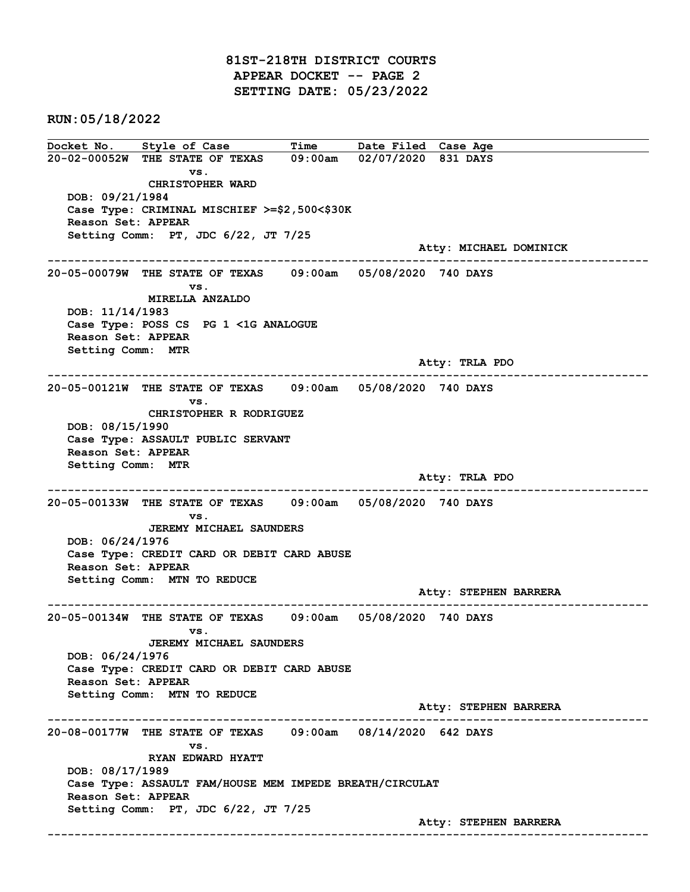81ST-218TH DISTRICT COURTS APPEAR DOCKET -- PAGE 2 SETTING DATE: 05/23/2022

RUN:05/18/2022

Docket No. Style of Case Time Date Filed Case Age 20-02-00052W THE STATE OF TEXAS 09:00am 02/07/2020 831 DAYS vs. CHRISTOPHER WARD DOB: 09/21/1984 Case Type: CRIMINAL MISCHIEF >=\$2,500<\$30K Reason Set: APPEAR Setting Comm: PT, JDC 6/22, JT 7/25 Atty: MICHAEL DOMINICK ------------------------------------------------------------------------------------------------------------------------ 20-05-00079W THE STATE OF TEXAS 09:00am 05/08/2020 740 DAYS vs. MIRELLA ANZALDO DOB: 11/14/1983 Case Type: POSS CS PG 1 <1G ANALOGUE Reason Set: APPEAR Setting Comm: MTR Atty: TRLA PDO ------------------------------------------------------------------------------------------------------------------------ 20-05-00121W THE STATE OF TEXAS 09:00am 05/08/2020 740 DAYS vs. CHRISTOPHER R RODRIGUEZ DOB: 08/15/1990 Case Type: ASSAULT PUBLIC SERVANT Reason Set: APPEAR Setting Comm: MTR Atty: TRLA PDO ------------------------------------------------------------------------------------------------------------------------ 20-05-00133W THE STATE OF TEXAS 09:00am 05/08/2020 740 DAYS vs. JEREMY MICHAEL SAUNDERS DOB: 06/24/1976 Case Type: CREDIT CARD OR DEBIT CARD ABUSE Reason Set: APPEAR Setting Comm: MTN TO REDUCE Atty: STEPHEN BARRERA ------------------------------------------------------------------------------------------------------------------------ 20-05-00134W THE STATE OF TEXAS 09:00am 05/08/2020 740 DAYS vs. JEREMY MICHAEL SAUNDERS DOB: 06/24/1976 Case Type: CREDIT CARD OR DEBIT CARD ABUSE Reason Set: APPEAR Setting Comm: MTN TO REDUCE Atty: STEPHEN BARRERA ------------------------------------------------------------------------------------------------------------------------ 20-08-00177W THE STATE OF TEXAS 09:00am 08/14/2020 642 DAYS vs. RYAN EDWARD HYATT DOB: 08/17/1989 Case Type: ASSAULT FAM/HOUSE MEM IMPEDE BREATH/CIRCULAT Reason Set: APPEAR Setting Comm: PT, JDC 6/22, JT 7/25 Atty: STEPHEN BARRERA ------------------------------------------------------------------------------------------------------------------------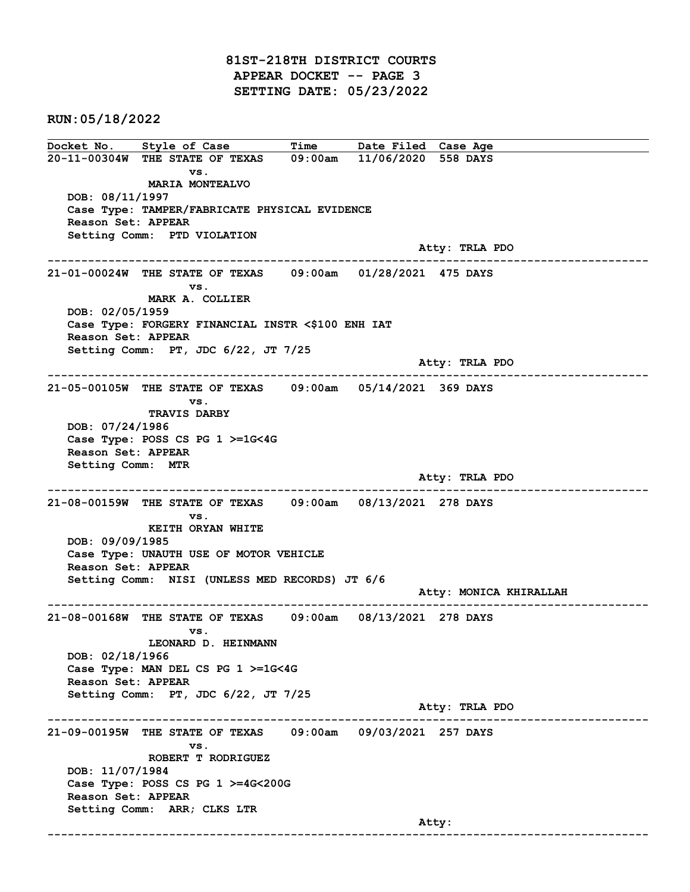81ST-218TH DISTRICT COURTS APPEAR DOCKET -- PAGE 3 SETTING DATE: 05/23/2022

RUN:05/18/2022

Docket No. Style of Case Time Date Filed Case Age 20-11-00304W THE STATE OF TEXAS 09:00am 11/06/2020 558 DAYS vs. MARIA MONTEALVO DOB: 08/11/1997 Case Type: TAMPER/FABRICATE PHYSICAL EVIDENCE Reason Set: APPEAR Setting Comm: PTD VIOLATION Atty: TRLA PDO ------------------------------------------------------------------------------------------------------------------------ 21-01-00024W THE STATE OF TEXAS 09:00am 01/28/2021 475 DAYS vs. MARK A. COLLIER DOB: 02/05/1959 Case Type: FORGERY FINANCIAL INSTR <\$100 ENH IAT Reason Set: APPEAR Setting Comm: PT, JDC 6/22, JT 7/25 Atty: TRLA PDO ------------------------------------------------------------------------------------------------------------------------ 21-05-00105W THE STATE OF TEXAS 09:00am 05/14/2021 369 DAYS vs. TRAVIS DARBY DOB: 07/24/1986 Case Type: POSS CS PG 1 >=1G<4G Reason Set: APPEAR Setting Comm: MTR Atty: TRLA PDO ------------------------------------------------------------------------------------------------------------------------ 21-08-00159W THE STATE OF TEXAS 09:00am 08/13/2021 278 DAYS vs. KEITH ORYAN WHITE DOB: 09/09/1985 Case Type: UNAUTH USE OF MOTOR VEHICLE Reason Set: APPEAR Setting Comm: NISI (UNLESS MED RECORDS) JT 6/6 Atty: MONICA KHIRALLAH ------------------------------------------------------------------------------------------------------------------------ 21-08-00168W THE STATE OF TEXAS 09:00am 08/13/2021 278 DAYS vs. LEONARD D. HEINMANN DOB: 02/18/1966 Case Type: MAN DEL CS PG 1 >=1G<4G Reason Set: APPEAR Setting Comm: PT, JDC 6/22, JT 7/25 Atty: TRLA PDO ------------------------------------------------------------------------------------------------------------------------ 21-09-00195W THE STATE OF TEXAS 09:00am 09/03/2021 257 DAYS vs. ROBERT T RODRIGUEZ DOB: 11/07/1984 Case Type: POSS CS PG 1 >=4G<200G Reason Set: APPEAR Setting Comm: ARR; CLKS LTR and the control of the control of the control of the control of the control of the control of the control of the control of the control of the control of the control of the control of the control of the control of the cont ------------------------------------------------------------------------------------------------------------------------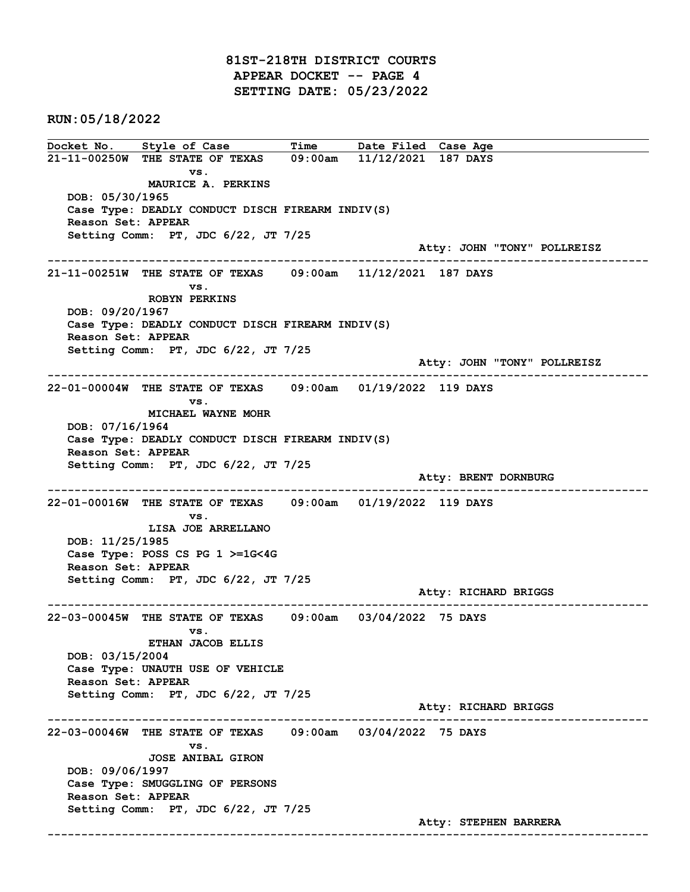81ST-218TH DISTRICT COURTS APPEAR DOCKET -- PAGE 4 SETTING DATE: 05/23/2022

RUN:05/18/2022

Docket No. Style of Case Time Date Filed Case Age 21-11-00250W THE STATE OF TEXAS 09:00am 11/12/2021 187 DAYS vs. MAURICE A. PERKINS DOB: 05/30/1965 Case Type: DEADLY CONDUCT DISCH FIREARM INDIV(S) Reason Set: APPEAR Setting Comm: PT, JDC 6/22, JT 7/25 Atty: JOHN "TONY" POLLREISZ ------------------------------------------------------------------------------------------------------------------------ 21-11-00251W THE STATE OF TEXAS 09:00am 11/12/2021 187 DAYS vs. ROBYN PERKINS DOB: 09/20/1967 Case Type: DEADLY CONDUCT DISCH FIREARM INDIV(S) Reason Set: APPEAR Setting Comm: PT, JDC 6/22, JT 7/25 Atty: JOHN "TONY" POLLREISZ ------------------------------------------------------------------------------------------------------------------------ 22-01-00004W THE STATE OF TEXAS 09:00am 01/19/2022 119 DAYS vs. MICHAEL WAYNE MOHR DOB: 07/16/1964 Case Type: DEADLY CONDUCT DISCH FIREARM INDIV(S) Reason Set: APPEAR Setting Comm: PT, JDC 6/22, JT 7/25 Atty: BRENT DORNBURG ------------------------------------------------------------------------------------------------------------------------ 22-01-00016W THE STATE OF TEXAS 09:00am 01/19/2022 119 DAYS vs. LISA JOE ARRELLANO DOB: 11/25/1985 Case Type: POSS CS PG 1 >=1G<4G Reason Set: APPEAR Setting Comm: PT, JDC 6/22, JT 7/25 Atty: RICHARD BRIGGS ------------------------------------------------------------------------------------------------------------------------ 22-03-00045W THE STATE OF TEXAS 09:00am 03/04/2022 75 DAYS vs. ETHAN JACOB ELLIS DOB: 03/15/2004 Case Type: UNAUTH USE OF VEHICLE Reason Set: APPEAR Setting Comm: PT, JDC 6/22, JT 7/25 Atty: RICHARD BRIGGS ------------------------------------------------------------------------------------------------------------------------ 22-03-00046W THE STATE OF TEXAS 09:00am 03/04/2022 75 DAYS vs. JOSE ANIBAL GIRON DOB: 09/06/1997 Case Type: SMUGGLING OF PERSONS Reason Set: APPEAR Setting Comm: PT, JDC 6/22, JT 7/25 Atty: STEPHEN BARRERA ------------------------------------------------------------------------------------------------------------------------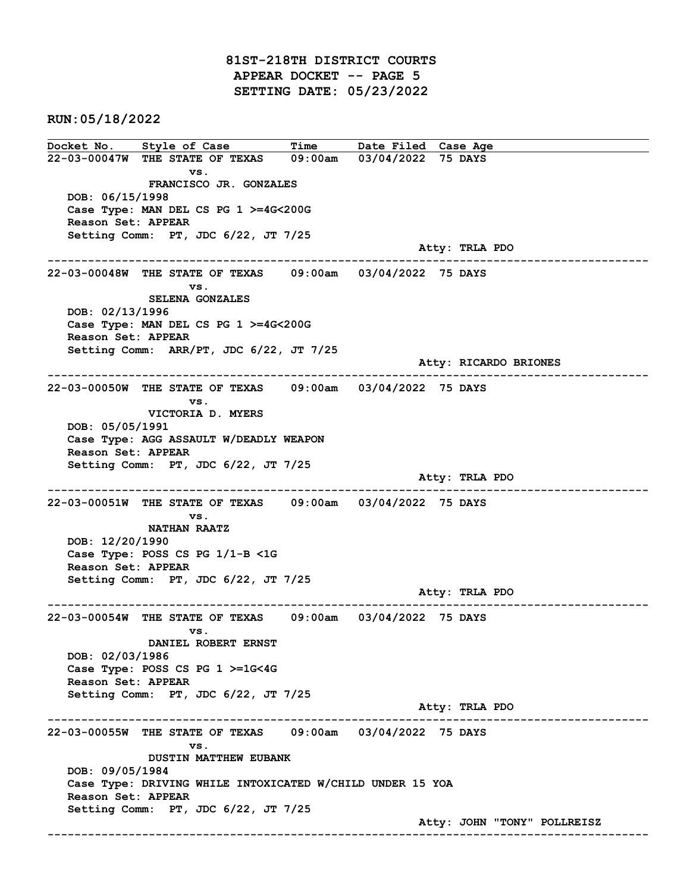81ST-218TH DISTRICT COURTS APPEAR DOCKET -- PAGE 5 SETTING DATE: 05/23/2022

RUN:05/18/2022

Docket No. Style of Case Time Date Filed Case Age 22-03-00047W THE STATE OF TEXAS 09:00am 03/04/2022 75 DAYS vs. FRANCISCO JR. GONZALES DOB: 06/15/1998 Case Type: MAN DEL CS PG 1 >=4G<200G Reason Set: APPEAR Setting Comm: PT, JDC 6/22, JT 7/25 Atty: TRLA PDO ------------------------------------------------------------------------------------------------------------------------ 22-03-00048W THE STATE OF TEXAS 09:00am 03/04/2022 75 DAYS vs. SELENA GONZALES DOB: 02/13/1996 Case Type: MAN DEL CS PG 1 >=4G<200G Reason Set: APPEAR Setting Comm: ARR/PT, JDC 6/22, JT 7/25 Atty: RICARDO BRIONES ------------------------------------------------------------------------------------------------------------------------ 22-03-00050W THE STATE OF TEXAS 09:00am 03/04/2022 75 DAYS vs. VICTORIA D. MYERS DOB: 05/05/1991 Case Type: AGG ASSAULT W/DEADLY WEAPON Reason Set: APPEAR Setting Comm: PT, JDC 6/22, JT 7/25 Atty: TRLA PDO ------------------------------------------------------------------------------------------------------------------------ 22-03-00051W THE STATE OF TEXAS 09:00am 03/04/2022 75 DAYS vs. NATHAN RAATZ DOB: 12/20/1990 Case Type: POSS CS PG 1/1-B <1G Reason Set: APPEAR Setting Comm: PT, JDC 6/22, JT 7/25 Atty: TRLA PDO ------------------------------------------------------------------------------------------------------------------------ 22-03-00054W THE STATE OF TEXAS 09:00am 03/04/2022 75 DAYS vs. DANIEL ROBERT ERNST DOB: 02/03/1986 Case Type: POSS CS PG 1 >=1G<4G Reason Set: APPEAR Setting Comm: PT, JDC 6/22, JT 7/25 Atty: TRLA PDO ------------------------------------------------------------------------------------------------------------------------ 22-03-00055W THE STATE OF TEXAS 09:00am 03/04/2022 75 DAYS vs. DUSTIN MATTHEW EUBANK DOB: 09/05/1984 Case Type: DRIVING WHILE INTOXICATED W/CHILD UNDER 15 YOA Reason Set: APPEAR Setting Comm: PT, JDC 6/22, JT 7/25 Atty: JOHN "TONY" POLLREISZ ------------------------------------------------------------------------------------------------------------------------